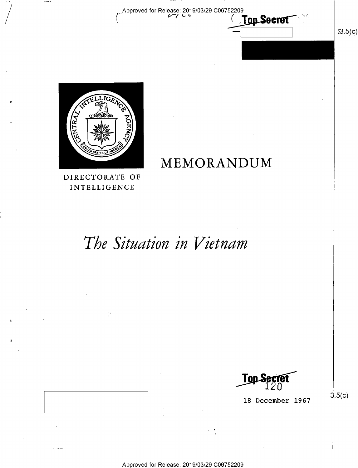Approved for Release: 2019/03/29 C06752209 **Top Secret** 

 $(3.5(c)$ 



MEMORANDUM

DIRECTORATE OF INTELLIGENCE

# The Situation in Vietnam

Top S

18 December 1967

 $3.5(c)$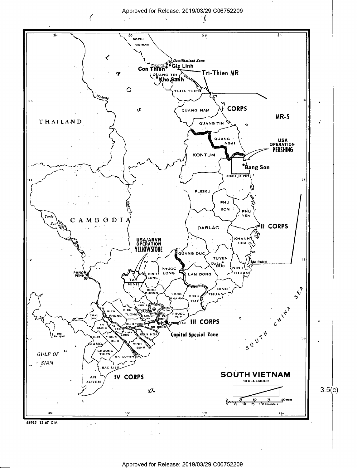

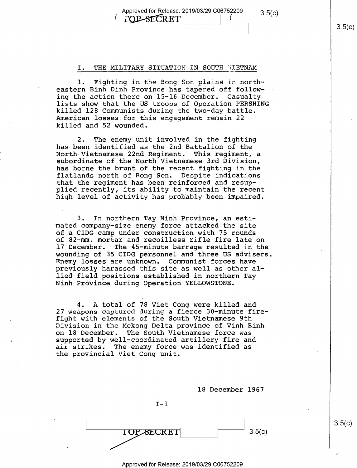Approved for Release: 2019/03/29 C06752209  $3.5(c)$ TOP-SECRET

#### I. THE MILITARY SITUATION IN SOUTH WIETNAM

'1. Fighting in the Bong Son plains in northeastern Binh Dinh Province has tapered off following the action there on 15-l6 December. Casualty lists show that the US troops of Operation PERSHING killed 128 Communists during the two-day battle. American losses for this engagement remain 22 killed and 52 wounded.

2. The enemy unit involved in the fighting has-been identified as the 2nd Battalion of the North Vietnamese 22nd Regiment. This regiment, a subordinate of the North Vietnamese 3rd Division, has borne the brunt of the recent fighting in the flatlands north of Bong Son. Despite indications that the regiment has been reinforced and resup plied recently, its ability to maintain the recent high level of activity has probably been impaired.

3. In northern Tay Ninh Province, an estimated company-size enemy force attacked the site of a CIDG camp under construction with 75 rounds of 82—mm. mortar and recoilless rifle fire late on 17 December. The 45-minute barrage resulted in the wounding of 35 CIDG personnel and three US advisers. Enemy losses are unknown. Communist forces have previously harassed this site as well as other al-<br>lied field positions established in northern Tay Ninh Province during Operation YELLOWSTONE.

4. A total of 78 Viet Cong were killed and 27 weapons captured during a fierce 30-minute firefight with elements of the South Vietnamese 9th Division in the Mekong Delta province of Vinh Binh on 18 December. The South Vietnamese force was supported by well-coordinated artillery fire and air strikes. The enemy force was identified as the provincial Viet Cong unit.

18 December 1967

 $I-1$ 

 $\overline{\text{BECRET}}$  3.5(c)

\_p Approved for Release: 2019/03/29 C06752209

 $3.5(c)$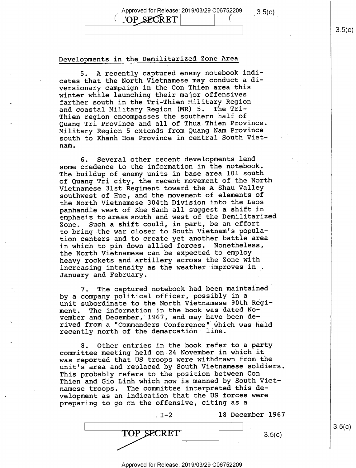## Approved for Release: 2019/03/29 C06752209  $3.5(c)$ 'OP SECRET

(

#### Developments in the Demilitarized Zone Area

5. A recently captured enemy notebook indicates that the North Vietnamese may conduct a diversionary campaign in the Con Thien area this winter while launching their major offensives farther south in the Tri-Thien Military Region and coastal Military Region (MR) 5. The Tri-Thien region encompasses the southern half of Quang Tri Province and all of Thua Thien Province. Military Region 5 extends from Quang Nam Province south to Khanh Hoa Province in central South Vietnam.

6. Several other recent developments lend some credence to the information in the notebook. The buildup of enemy units in base area l0l south of Quang Tri city, the recent movement of the North Vietnamese 3lst Regiment toward the A Shau Valley southwest of Hue, and the movement of elements of the North Vietnamese 304th Division into the Laos panhandle west of Khe Sanh all suggest a shift in emphasis to areas south and west of the Demilitarized<br>Zone. Such a shift could, in part, be an effort Such a shift could, in part, be an effort to bring the war closer to South Vietnam's population centers and to create yet another battle area in which to pin down allied forces. Nonetheless, the North Vietnamese can be expected to employ heavy rockets and artillery across the Zone with increasing intensity as the weather improves in , January and February.

7. The captured notebook had been maintained\_ by a company political officer, possibly in a unit subordinate to the North Vietnamese 90th Regi-<br>ment. The information in the book was dated No-The information in the book was dated November and December, 1967, and may have been derived from a "Commanders Conference" which was held recently north of the demarcation' line.

8. Other entries in the book refer to a party committee meeting held on 24 November in which it was reported that US troops were withdrawn from the unit's area and replaced by South Vietnamese soldiers. This probably refers to the position between Con Thien and Gio Linh which now is manned by South Vietnamese troops. The committee interpreted this development as an indication that the US forces were preparing to go on the offensive, citing as a

| ェーつ | 18 December 1967 |
|-----|------------------|
| .   | 3.5(c)           |

 $\vert$  3.9(c)

 $3.5(c)$ 

Approved for Release: 2019/03/29 C06752209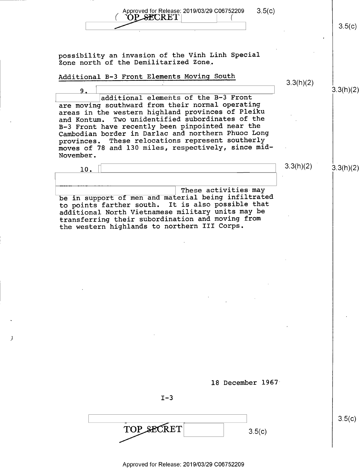Approved for Release: 2019/03/29 C06752209 3.5(c) ( OLSECRET\ (.  $\overbrace{OP\_SECRE}^{(\text{Approved for Release: } 2019/03/29 \text{ } C06/52209} \quad 3.5(c)$ possibility an invasion of the Vinh Linh Special Zone north of the Demilitarized Zone, Additional B-3 Front Elements Moving South  $9. \frac{1}{2}$  . The set of  $3.3$   $\overline{2}$  ,  $\overline{2}$  ,  $\overline{2}$  ,  $\overline{2}$  ,  $\overline{2}$  ,  $\overline{2}$  ,  $\overline{2}$  ,  $\overline{2}$  ,  $\overline{2}$  ,  $\overline{2}$  ,  $\overline{2}$  ,  $\overline{2}$  ,  $\overline{2}$  ,  $\overline{2}$  ,  $\overline{2}$  ,  $\overline{2}$  ,  $\overline{2}$  ,  $\over$ additional elements of the B-3 Front are moving southward from their normal operating areas in the western highland provinces of Pleiku and Kontum. Two unidentified subordinates of the B-3 Front have recently been pinpointed near the Cambodian border in Darlac and northern Phuoc Long provinces. These relocations represent southerly moves of 78 and 130 miles, respectively, since mid— November. 10. H  $\blacksquare$ be in support of men and material being infiltrated These activities-may to points farther south. It is also possible that additional North Vietnamese military units may be transferring their subordination and moving from the western highlands to northern III Corps. 18 December 1967  $I-3$  $TOP\_SECRET$   $3.5(c)$ 3.3(h)(2)  $3.3(h)(2)$   $3.3(h)(2)$  $3.5(c)$ 

Approved for Release: 2019/03/29 C06752209

 $\cdot$   $\cdot$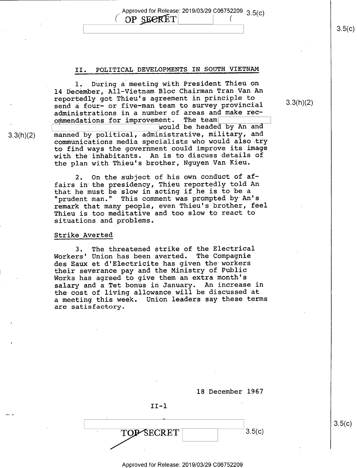Approved for Release: 2019/03/29 C06752209 3.5(c) OP SEERET

## II. POLITICAL DEVELOPMENTS IN SOUTH VIETNAM

l. During a meeting with President Thieu on 14 December,-All—Vietnam Bloc Chairman Tran Van An reportedly got Thieu's agreement in principle to send a four— or five-man team to survey provincial administrations in a number of areas and make rec-<br>ommendations for improvement. The team

would be headed by An and manned by political, administrative, military, and communications media specialists who would also try to find ways the government could improve its image with the inhabitants. An is to discuss details of the plan with Thieu's brother, Nguyen-Van Kieu.

2. On the subject of his own conduct of affairs in the presidency, Thieu reportedly told An that he must be slow in acting if he is to be a "prudent man." This comment was prompted by An's remark that many people, even Thieu's brother, feel Thieu is too meditative and too slow to react to situations and problems.

#### Strike Averted

3.3(h)(2)

I

3. The threatened strike of the Electrical Workers' Union has been averted. The Compagnie des Eaux et d'Electricite has given the workers their severance pay and the Ministry of Public Works has agreed to give them an extra month's salary and a Tet bonus in January. An increase in the cost of living allowance will be discussed at a meeting this week. Union leaders say these terms are Satisfactory.

> 18 December 1967  $II-1$  $\sqrt{10P\text{SECRET}}$  3.5(c)

3.3(h)(2)

 $3.5(c)$ 

Approved for Release: 2019/03/29 C06752209

 $\frac{1}{3}$  s.5(t)